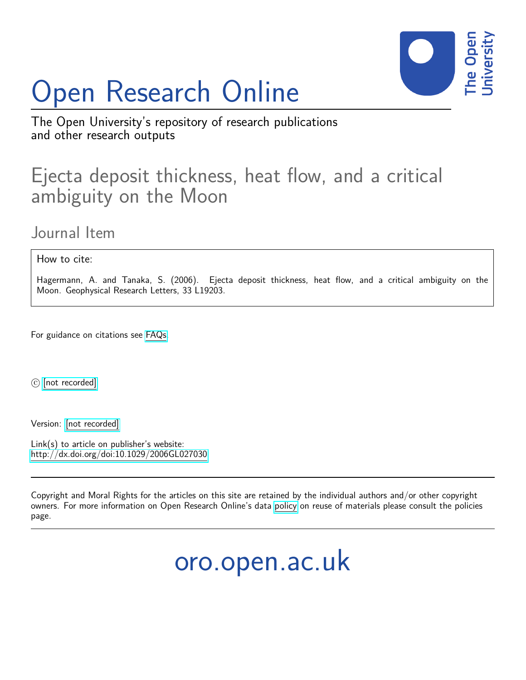# Open Research Online



The Open University's repository of research publications and other research outputs

## Ejecta deposit thickness, heat flow, and a critical ambiguity on the Moon

## Journal Item

How to cite:

Hagermann, A. and Tanaka, S. (2006). Ejecta deposit thickness, heat flow, and a critical ambiguity on the Moon. Geophysical Research Letters, 33 L19203.

For guidance on citations see [FAQs.](http://oro.open.ac.uk/help/helpfaq.html)

 $\odot$  [\[not recorded\]](http://oro.open.ac.uk/help/helpfaq.html#Unrecorded_information_on_coversheet)

Version: [\[not recorded\]](http://oro.open.ac.uk/help/helpfaq.html#Unrecorded_information_on_coversheet)

Link(s) to article on publisher's website: <http://dx.doi.org/doi:10.1029/2006GL027030>

Copyright and Moral Rights for the articles on this site are retained by the individual authors and/or other copyright owners. For more information on Open Research Online's data [policy](http://oro.open.ac.uk/policies.html) on reuse of materials please consult the policies page.

## oro.open.ac.uk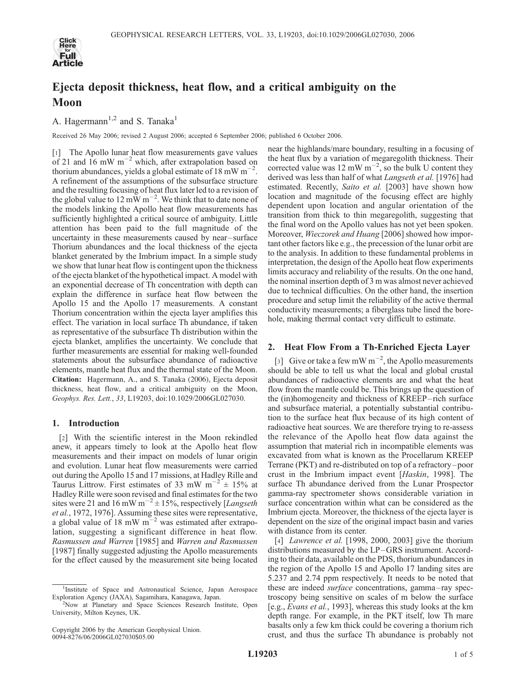

### Ejecta deposit thickness, heat flow, and a critical ambiguity on the Moon

A. Hagermann<sup>1,2</sup> and S. Tanaka<sup>1</sup>

Received 26 May 2006; revised 2 August 2006; accepted 6 September 2006; published 6 October 2006.

[1] The Apollo lunar heat flow measurements gave values of 21 and  $16$  mW m<sup>-2</sup> which, after extrapolation based on thorium abundances, yields a global estimate of 18 mW m<sup>-2</sup>. A refinement of the assumptions of the subsurface structure and the resulting focusing of heat flux later led to a revision of the global value to 12 mW m<sup>-2</sup>. We think that to date none of the models linking the Apollo heat flow measurements has sufficiently highlighted a critical source of ambiguity. Little attention has been paid to the full magnitude of the uncertainty in these measurements caused by near – surface Thorium abundances and the local thickness of the ejecta blanket generated by the Imbrium impact. In a simple study we show that lunar heat flow is contingent upon the thickness of the ejecta blanket of the hypothetical impact. A model with an exponential decrease of Th concentration with depth can explain the difference in surface heat flow between the Apollo 15 and the Apollo 17 measurements. A constant Thorium concentration within the ejecta layer amplifies this effect. The variation in local surface Th abundance, if taken as representative of the subsurface Th distribution within the ejecta blanket, amplifies the uncertainty. We conclude that further measurements are essential for making well-founded statements about the subsurface abundance of radioactive elements, mantle heat flux and the thermal state of the Moon. Citation: Hagermann, A., and S. Tanaka (2006), Ejecta deposit thickness, heat flow, and a critical ambiguity on the Moon, Geophys. Res. Lett., 33, L19203, doi:10.1029/2006GL027030.

#### 1. Introduction

[2] With the scientific interest in the Moon rekindled anew, it appears timely to look at the Apollo heat flow measurements and their impact on models of lunar origin and evolution. Lunar heat flow measurements were carried out during the Apollo 15 and 17 missions, at Hadley Rille and Taurus Littrow. First estimates of 33 mW  $m^{-2} \pm 15\%$  at Hadley Rille were soon revised and final estimates for the two sites were 21 and 16 mW m<sup>-2</sup>  $\pm$  15%, respectively [*Langseth* et al., 1972, 1976]. Assuming these sites were representative, a global value of 18 mW  $m^{-2}$  was estimated after extrapolation, suggesting a significant difference in heat flow. Rasmussen and Warren [1985] and Warren and Rasmussen [1987] finally suggested adjusting the Apollo measurements for the effect caused by the measurement site being located

near the highlands/mare boundary, resulting in a focusing of the heat flux by a variation of megaregolith thickness. Their corrected value was 12 mW  $m^{-2}$ , so the bulk U content they derived was less than half of what Langseth et al. [1976] had estimated. Recently, Saito et al. [2003] have shown how location and magnitude of the focusing effect are highly dependent upon location and angular orientation of the transition from thick to thin megaregolith, suggesting that the final word on the Apollo values has not yet been spoken. Moreover, Wieczorek and Huang [2006] showed how important other factors like e.g., the precession of the lunar orbit are to the analysis. In addition to these fundamental problems in interpretation, the design of the Apollo heat flow experiments limits accuracy and reliability of the results. On the one hand, the nominal insertion depth of 3 m was almost never achieved due to technical difficulties. On the other hand, the insertion procedure and setup limit the reliability of the active thermal conductivity measurements; a fiberglass tube lined the borehole, making thermal contact very difficult to estimate.

#### 2. Heat Flow From a Th-Enriched Ejecta Layer

[3] Give or take a few mW  $m^{-2}$ , the Apollo measurements should be able to tell us what the local and global crustal abundances of radioactive elements are and what the heat flow from the mantle could be. This brings up the question of the (in)homogeneity and thickness of KREEP – rich surface and subsurface material, a potentially substantial contribution to the surface heat flux because of its high content of radioactive heat sources. We are therefore trying to re-assess the relevance of the Apollo heat flow data against the assumption that material rich in incompatible elements was excavated from what is known as the Procellarum KREEP Terrane (PKT) and re-distributed on top of a refractory – poor crust in the Imbrium impact event [Haskin, 1998]. The surface Th abundance derived from the Lunar Prospector gamma-ray spectrometer shows considerable variation in surface concentration within what can be considered as the Imbrium ejecta. Moreover, the thickness of the ejecta layer is dependent on the size of the original impact basin and varies with distance from its center.

[4] *Lawrence et al.* [1998, 2000, 2003] give the thorium distributions measured by the LP–GRS instrument. According to their data, available on the PDS, thorium abundances in the region of the Apollo 15 and Apollo 17 landing sites are 5.237 and 2.74 ppm respectively. It needs to be noted that these are indeed *surface* concentrations, gamma-ray spectroscopy being sensitive on scales of m below the surface [e.g., Evans et al., 1993], whereas this study looks at the km depth range. For example, in the PKT itself, low Th mare basalts only a few km thick could be covering a thorium rich crust, and thus the surface Th abundance is probably not

<sup>&</sup>lt;sup>1</sup>Institute of Space and Astronautical Science, Japan Aerospace Exploration Agency (JAXA), Sagamihara, Kanagawa, Japan. <sup>2</sup>

<sup>&</sup>lt;sup>2</sup>Now at Planetary and Space Sciences Research Institute, Open University, Milton Keynes, UK.

Copyright 2006 by the American Geophysical Union. 0094-8276/06/2006GL027030\$05.00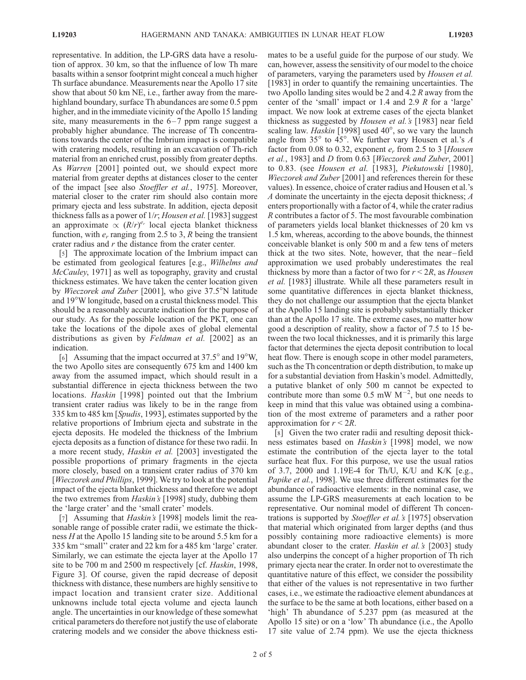representative. In addition, the LP-GRS data have a resolution of approx. 30 km, so that the influence of low Th mare basalts within a sensor footprint might conceal a much higher Th surface abundance. Measurements near the Apollo 17 site show that about 50 km NE, i.e., farther away from the marehighland boundary, surface Th abundances are some 0.5 ppm higher, and in the immediate vicinity of the Apollo 15 landing site, many measurements in the  $6-7$  ppm range suggest a probably higher abundance. The increase of Th concentrations towards the center of the Imbrium impact is compatible with cratering models, resulting in an excavation of Th-rich material from an enriched crust, possibly from greater depths. As Warren [2001] pointed out, we should expect more material from greater depths at distances closer to the center of the impact [see also *Stoeffler et al.*, 1975]. Moreover, material closer to the crater rim should also contain more primary ejecta and less substrate. In addition, ejecta deposit thickness falls as a power of  $1/r$ ; Housen et al. [1983] suggest an approximate  $\propto (R/r)^{e_r}$  local ejecta blanket thickness function, with  $e_r$  ranging from 2.5 to 3, R being the transient crater radius and r the distance from the crater center.

[5] The approximate location of the Imbrium impact can be estimated from geological features [e.g., Wilhelms and McCauley, 1971] as well as topography, gravity and crustal thickness estimates. We have taken the center location given by Wieczorek and Zuber [2001], who give 37.5°N latitude and 19°W longitude, based on a crustal thickness model. This should be a reasonably accurate indication for the purpose of our study. As for the possible location of the PKT, one can take the locations of the dipole axes of global elemental distributions as given by Feldman et al. [2002] as an indication.

[6] Assuming that the impact occurred at  $37.5^{\circ}$  and  $19^{\circ}$ W, the two Apollo sites are consequently 675 km and 1400 km away from the assumed impact, which should result in a substantial difference in ejecta thickness between the two locations. Haskin [1998] pointed out that the Imbrium transient crater radius was likely to be in the range from 335 km to 485 km [Spudis, 1993], estimates supported by the relative proportions of Imbrium ejecta and substrate in the ejecta deposits. He modeled the thickness of the Imbrium ejecta deposits as a function of distance for these two radii. In a more recent study, Haskin et al. [2003] investigated the possible proportions of primary fragments in the ejecta more closely, based on a transient crater radius of 370 km [Wieczorek and Phillips, 1999]. We try to look at the potential impact of the ejecta blanket thickness and therefore we adopt the two extremes from *Haskin's* [1998] study, dubbing them the 'large crater' and the 'small crater' models.

[7] Assuming that *Haskin's* [1998] models limit the reasonable range of possible crater radii, we estimate the thickness H at the Apollo 15 landing site to be around 5.5 km for a 335 km ''small'' crater and 22 km for a 485 km 'large' crater. Similarly, we can estimate the ejecta layer at the Apollo 17 site to be 700 m and 2500 m respectively [cf. Haskin, 1998, Figure 3]. Of course, given the rapid decrease of deposit thickness with distance, these numbers are highly sensitive to impact location and transient crater size. Additional unknowns include total ejecta volume and ejecta launch angle. The uncertainties in our knowledge of these somewhat critical parameters do therefore not justify the use of elaborate cratering models and we consider the above thickness estimates to be a useful guide for the purpose of our study. We can, however, assess the sensitivity of our model to the choice of parameters, varying the parameters used by Housen et al. [1983] in order to quantify the remaining uncertainties. The two Apollo landing sites would be 2 and 4.2 R away from the center of the 'small' impact or 1.4 and 2.9 R for a 'large' impact. We now look at extreme cases of the ejecta blanket thickness as suggested by Housen et al.'s [1983] near field scaling law. Haskin [1998] used  $40^{\circ}$ , so we vary the launch angle from  $35^{\circ}$  to  $45^{\circ}$ . We further vary Housen et al.'s A factor from 0.08 to 0.32, exponent  $e_r$  from 2.5 to 3 [Housen] et al., 1983] and D from 0.63 [Wieczorek and Zuber, 2001] to 0.83. (see Housen et al. [1983], Piekutowski [1980], Wieczorek and Zuber [2001] and references therein for these values). In essence, choice of crater radius and Housen et al.'s A dominate the uncertainty in the ejecta deposit thickness; A enters proportionally with a factor of 4, while the crater radius R contributes a factor of 5. The most favourable combination of parameters yields local blanket thicknesses of 20 km vs 1.5 km, whereas, according to the above bounds, the thinnest conceivable blanket is only 500 m and a few tens of meters thick at the two sites. Note, however, that the near – field approximation we used probably underestimates the real thickness by more than a factor of two for  $r < 2R$ , as *Housen* et al. [1983] illustrate. While all these parameters result in some quantitative differences in ejecta blanket thickness, they do not challenge our assumption that the ejecta blanket at the Apollo 15 landing site is probably substantially thicker than at the Apollo 17 site. The extreme cases, no matter how good a description of reality, show a factor of 7.5 to 15 between the two local thicknesses, and it is primarily this large factor that determines the ejecta deposit contribution to local heat flow. There is enough scope in other model parameters, such as the Th concentration or depth distribution, to make up for a substantial deviation from Haskin's model. Admittedly, a putative blanket of only 500 m cannot be expected to contribute more than some  $0.5$  mW  $M^{-2}$ , but one needs to keep in mind that this value was obtained using a combination of the most extreme of parameters and a rather poor approximation for  $r < 2R$ .

[8] Given the two crater radii and resulting deposit thickness estimates based on Haskin's [1998] model, we now estimate the contribution of the ejecta layer to the total surface heat flux. For this purpose, we use the usual ratios of 3.7, 2000 and 1.19E-4 for Th/U, K/U and K/K [e.g., Papike et al., 1998]. We use three different estimates for the abundance of radioactive elements: in the nominal case, we assume the LP-GRS measurements at each location to be representative. Our nominal model of different Th concentrations is supported by Stoeffler et al.'s [1975] observation that material which originated from larger depths (and thus possibly containing more radioactive elements) is more abundant closer to the crater. Haskin et al.'s [2003] study also underpins the concept of a higher proportion of Th rich primary ejecta near the crater. In order not to overestimate the quantitative nature of this effect, we consider the possibility that either of the values is not representative in two further cases, i.e., we estimate the radioactive element abundances at the surface to be the same at both locations, either based on a 'high' Th abundance of 5.237 ppm (as measured at the Apollo 15 site) or on a 'low' Th abundance (i.e., the Apollo 17 site value of 2.74 ppm). We use the ejecta thickness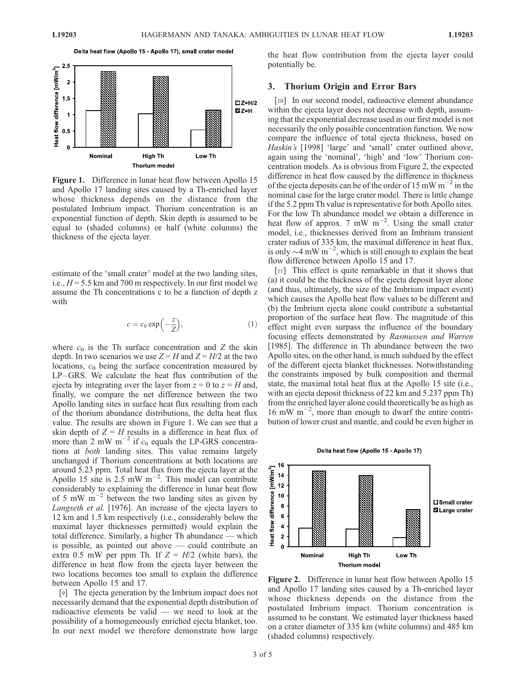

Figure 1. Difference in lunar heat flow between Apollo 15 and Apollo 17 landing sites caused by a Th-enriched layer whose thickness depends on the distance from the postulated Imbrium impact. Thorium concentration is an exponential function of depth. Skin depth is assumed to be equal to (shaded columns) or half (white columns) the thickness of the ejecta layer.

estimate of the 'small crater' model at the two landing sites, i.e.,  $H = 5.5$  km and 700 m respectively. In our first model we assume the Th concentrations c to be a function of depth z with

$$
c = c_0 \exp\left(-\frac{z}{Z}\right),\tag{1}
$$

where  $c_0$  is the Th surface concentration and Z the skin depth. In two scenarios we use  $Z = H$  and  $Z = H/2$  at the two locations,  $c_0$  being the surface concentration measured by LP –GRS. We calculate the heat flux contribution of the ejecta by integrating over the layer from  $z = 0$  to  $z = H$  and, finally, we compare the net difference between the two Apollo landing sites in surface heat flux resulting from each of the thorium abundance distributions, the delta heat flux value. The results are shown in Figure 1. We can see that a skin depth of  $Z = H$  results in a difference in heat flux of more than 2 mW  $m^{-2}$  if  $c_0$  equals the LP-GRS concentrations at both landing sites. This value remains largely unchanged if Thorium concentrations at both locations are around 5.23 ppm. Total heat flux from the ejecta layer at the Apollo 15 site is 2.5 mW  $m^{-2}$ . This model can contribute considerably to explaining the difference in lunar heat flow of 5 mW  $m^{-2}$  between the two landing sites as given by Langseth et al. [1976]. An increase of the ejecta layers to 12 km and 1.5 km respectively (i.e., considerably below the maximal layer thicknesses permitted) would explain the total difference. Similarly, a higher Th abundance — which is possible, as pointed out above — could contribute an extra 0.5 mW per ppm Th. If  $Z = H/2$  (white bars), the difference in heat flow from the ejecta layer between the two locations becomes too small to explain the difference between Apollo 15 and 17.

[9] The ejecta generation by the Imbrium impact does not necessarily demand that the exponential depth distribution of radioactive elements be valid — we need to look at the possibility of a homogeneously enriched ejecta blanket, too. In our next model we therefore demonstrate how large

the heat flow contribution from the ejecta layer could potentially be.

#### 3. Thorium Origin and Error Bars

[10] In our second model, radioactive element abundance within the ejecta layer does not decrease with depth, assuming that the exponential decrease used in our first model is not necessarily the only possible concentration function. We now compare the influence of total ejecta thickness, based on Haskin's [1998] 'large' and 'small' crater outlined above, again using the 'nominal', 'high' and 'low' Thorium concentration models. As is obvious from Figure 2, the expected difference in heat flow caused by the difference in thickness of the ejecta deposits can be of the order of 15 mW  $m^{-2}$  in the nominal case for the large crater model. There is little change if the 5.2 ppm Th value is representative for both Apollo sites. For the low Th abundance model we obtain a difference in heat flow of approx. 7 mW  $m^{-2}$ . Using the small crater model, i.e., thicknesses derived from an Imbrium transient crater radius of 335 km, the maximal difference in heat flux, is only  $\sim$  4 mW m<sup>-2</sup>, which is still enough to explain the heat flow difference between Apollo 15 and 17.

[11] This effect is quite remarkable in that it shows that (a) it could be the thickness of the ejecta deposit layer alone (and thus, ultimately, the size of the Imbrium impact event) which causes the Apollo heat flow values to be different and (b) the Imbrium ejecta alone could contribute a substantial proportion of the surface heat flow. The magnitude of this effect might even surpass the influence of the boundary focusing effects demonstrated by Rasmussen and Warren [1985]. The difference in Th abundance between the two Apollo sites, on the other hand, is much subdued by the effect of the different ejecta blanket thicknesses. Notwithstanding the constraints imposed by bulk composition and thermal state, the maximal total heat flux at the Apollo 15 site (i.e., with an ejecta deposit thickness of 22 km and 5.237 ppm Th) from the enriched layer alone could theoretically be as high as 16 mW  $m^{-2}$ , more than enough to dwarf the entire contribution of lower crust and mantle, and could be even higher in





Figure 2. Difference in lunar heat flow between Apollo 15 and Apollo 17 landing sites caused by a Th-enriched layer whose thickness depends on the distance from the postulated Imbrium impact. Thorium concentration is assumed to be constant. We estimated layer thickness based on a crater diameter of 335 km (white columns) and 485 km (shaded columns) respectively.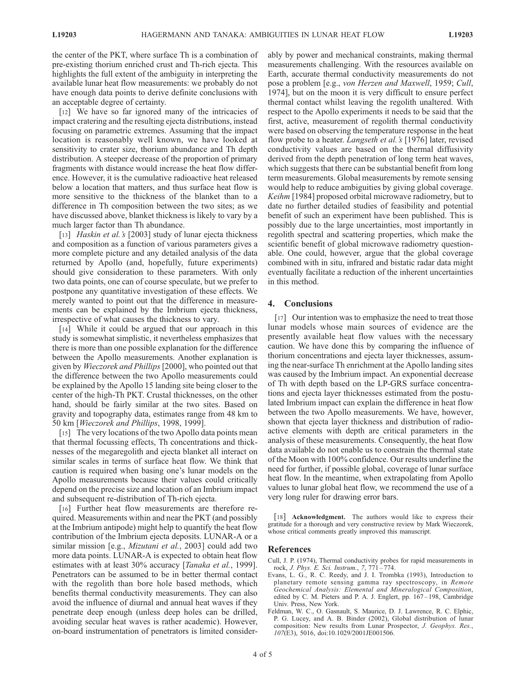the center of the PKT, where surface Th is a combination of pre-existing thorium enriched crust and Th-rich ejecta. This highlights the full extent of the ambiguity in interpreting the available lunar heat flow measurements: we probably do not have enough data points to derive definite conclusions with an acceptable degree of certainty.

[12] We have so far ignored many of the intricacies of impact cratering and the resulting ejecta distributions, instead focusing on parametric extremes. Assuming that the impact location is reasonably well known, we have looked at sensitivity to crater size, thorium abundance and Th depth distribution. A steeper decrease of the proportion of primary fragments with distance would increase the heat flow difference. However, it is the cumulative radioactive heat released below a location that matters, and thus surface heat flow is more sensitive to the thickness of the blanket than to a difference in Th composition between the two sites; as we have discussed above, blanket thickness is likely to vary by a much larger factor than Th abundance.

[13] *Haskin et al.'s* [2003] study of lunar ejecta thickness and composition as a function of various parameters gives a more complete picture and any detailed analysis of the data returned by Apollo (and, hopefully, future experiments) should give consideration to these parameters. With only two data points, one can of course speculate, but we prefer to postpone any quantitative investigation of these effects. We merely wanted to point out that the difference in measurements can be explained by the Imbrium ejecta thickness, irrespective of what causes the thickness to vary.

[14] While it could be argued that our approach in this study is somewhat simplistic, it nevertheless emphasizes that there is more than one possible explanation for the difference between the Apollo measurements. Another explanation is given by Wieczorek and Phillips [2000], who pointed out that the difference between the two Apollo measurements could be explained by the Apollo 15 landing site being closer to the center of the high-Th PKT. Crustal thicknesses, on the other hand, should be fairly similar at the two sites. Based on gravity and topography data, estimates range from 48 km to 50 km [Wieczorek and Phillips, 1998, 1999].

[15] The very locations of the two Apollo data points mean that thermal focussing effects, Th concentrations and thicknesses of the megaregolith and ejecta blanket all interact on similar scales in terms of surface heat flow. We think that caution is required when basing one's lunar models on the Apollo measurements because their values could critically depend on the precise size and location of an Imbrium impact and subsequent re-distribution of Th-rich ejecta.

[16] Further heat flow measurements are therefore required. Measurements within and near the PKT (and possibly at the Imbrium antipode) might help to quantify the heat flow contribution of the Imbrium ejecta deposits. LUNAR-A or a similar mission [e.g., *Mizutani et al.*, 2003] could add two more data points. LUNAR-A is expected to obtain heat flow estimates with at least 30% accuracy [Tanaka et al., 1999]. Penetrators can be assumed to be in better thermal contact with the regolith than bore hole based methods, which benefits thermal conductivity measurements. They can also avoid the influence of diurnal and annual heat waves if they penetrate deep enough (unless deep holes can be drilled, avoiding secular heat waves is rather academic). However, on-board instrumentation of penetrators is limited considerably by power and mechanical constraints, making thermal measurements challenging. With the resources available on Earth, accurate thermal conductivity measurements do not pose a problem [e.g., von Herzen and Maxwell, 1959; Cull, 1974], but on the moon it is very difficult to ensure perfect thermal contact whilst leaving the regolith unaltered. With respect to the Apollo experiments it needs to be said that the first, active, measurement of regolith thermal conductivity were based on observing the temperature response in the heat flow probe to a heater. *Langseth et al. s* [1976] later, revised conductivity values are based on the thermal diffusivity derived from the depth penetration of long term heat waves, which suggests that there can be substantial benefit from long term measurements. Global measurements by remote sensing would help to reduce ambiguities by giving global coverage. Keihm [1984] proposed orbital microwave radiometry, but to date no further detailed studies of feasibility and potential benefit of such an experiment have been published. This is possibly due to the large uncertainties, most importantly in regolith spectral and scattering properties, which make the scientific benefit of global microwave radiometry questionable. One could, however, argue that the global coverage combined with in situ, infrared and bistatic radar data might eventually facilitate a reduction of the inherent uncertainties in this method.

#### 4. Conclusions

[17] Our intention was to emphasize the need to treat those lunar models whose main sources of evidence are the presently available heat flow values with the necessary caution. We have done this by comparing the influence of thorium concentrations and ejecta layer thicknesses, assuming the near-surface Th enrichment at the Apollo landing sites was caused by the Imbrium impact. An exponential decrease of Th with depth based on the LP-GRS surface concentrations and ejecta layer thicknesses estimated from the postulated Imbrium impact can explain the difference in heat flow between the two Apollo measurements. We have, however, shown that ejecta layer thickness and distribution of radioactive elements with depth are critical parameters in the analysis of these measurements. Consequently, the heat flow data available do not enable us to constrain the thermal state of the Moon with 100% confidence. Our results underline the need for further, if possible global, coverage of lunar surface heat flow. In the meantime, when extrapolating from Apollo values to lunar global heat flow, we recommend the use of a very long ruler for drawing error bars.

[18] Acknowledgment. The authors would like to express their gratitude for a thorough and very constructive review by Mark Wieczorek, whose critical comments greatly improved this manuscript.

#### References

- Cull, J. P. (1974), Thermal conductivity probes for rapid measurements in rock, J. Phys. E. Sci. Instrum., 7, 771 – 774.
- Evans, L. G., R. C. Reedy, and J. I. Trombka (1993), Introduction to planetary remote sensing gamma ray spectroscopy, in Remote Geochemical Analysis: Elemental and Mineralogical Composition, edited by C. M. Pieters and P. A. J. Englert, pp.  $167-198$ , Cambridge Univ. Press, New York.
- Feldman, W. C., O. Gasnault, S. Maurice, D. J. Lawrence, R. C. Elphic, P. G. Lucey, and A. B. Binder (2002), Global distribution of lunar composition: New results from Lunar Prospector, J. Geophys. Res., 107(E3), 5016, doi:10.1029/2001JE001506.